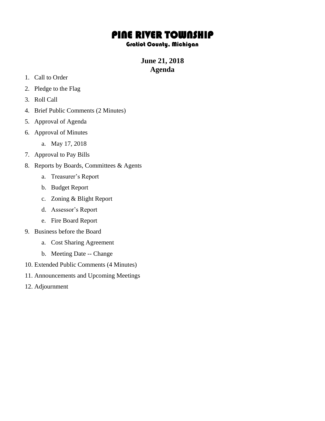## PINE RIVER TOWNSHIP

## Gratiot County, Michigan

**June 21, 2018 Agenda**

- 1. Call to Order
- 2. Pledge to the Flag
- 3. Roll Call
- 4. Brief Public Comments (2 Minutes)
- 5. Approval of Agenda
- 6. Approval of Minutes
	- a. May 17, 2018
- 7. Approval to Pay Bills
- 8. Reports by Boards, Committees & Agents
	- a. Treasurer's Report
	- b. Budget Report
	- c. Zoning & Blight Report
	- d. Assessor's Report
	- e. Fire Board Report
- 9. Business before the Board
	- a. Cost Sharing Agreement
	- b. Meeting Date -- Change
- 10. Extended Public Comments (4 Minutes)
- 11. Announcements and Upcoming Meetings
- 12. Adjournment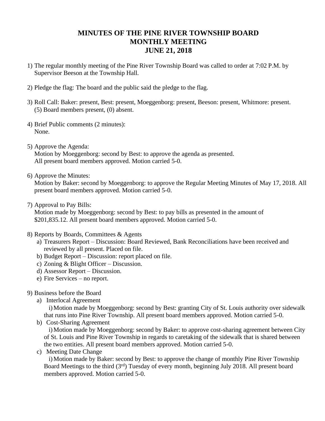## **MINUTES OF THE PINE RIVER TOWNSHIP BOARD MONTHLY MEETING JUNE 21, 2018**

- 1) The regular monthly meeting of the Pine River Township Board was called to order at 7:02 P.M. by Supervisor Beeson at the Township Hall.
- 2) Pledge the flag: The board and the public said the pledge to the flag.
- 3) Roll Call: Baker: present, Best: present, Moeggenborg: present, Beeson: present, Whitmore: present. (5) Board members present, (0) absent.
- 4) Brief Public comments (2 minutes): None.
- 5) Approve the Agenda: Motion by Moeggenborg: second by Best: to approve the agenda as presented. All present board members approved. Motion carried 5-0.
- 6) Approve the Minutes:

Motion by Baker: second by Moeggenborg: to approve the Regular Meeting Minutes of May 17, 2018. All present board members approved. Motion carried 5-0.

7) Approval to Pay Bills:

Motion made by Moeggenborg: second by Best: to pay bills as presented in the amount of \$201,835.12. All present board members approved. Motion carried 5-0.

- 8) Reports by Boards, Committees & Agents
	- a) Treasurers Report Discussion: Board Reviewed, Bank Reconciliations have been received and reviewed by all present. Placed on file.
	- b) Budget Report Discussion: report placed on file.
	- c) Zoning & Blight Officer Discussion.
	- d) Assessor Report Discussion.
	- e) Fire Services no report.
- 9) Business before the Board
	- a) Interlocal Agreement

i)Motion made by Moeggenborg: second by Best: granting City of St. Louis authority over sidewalk that runs into Pine River Township. All present board members approved. Motion carried 5-0.

b) Cost-Sharing Agreement

i)Motion made by Moeggenborg: second by Baker: to approve cost-sharing agreement between City of St. Louis and Pine River Township in regards to caretaking of the sidewalk that is shared between the two entities. All present board members approved. Motion carried 5-0.

c) Meeting Date Change

i)Motion made by Baker: second by Best: to approve the change of monthly Pine River Township Board Meetings to the third (3<sup>rd</sup>) Tuesday of every month, beginning July 2018. All present board members approved. Motion carried 5-0.